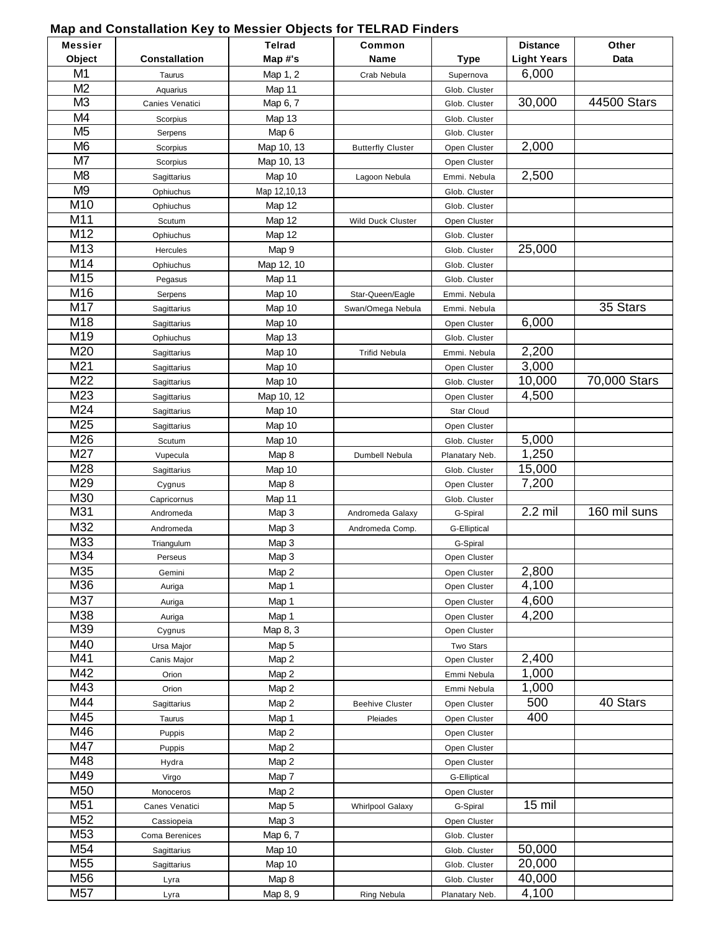## **Map and Constallation Key to Messier Objects for TELRAD Finders**

| <b>Messier</b> |                      | <b>Telrad</b> | Common                   |                     | <b>Distance</b>    | Other        |
|----------------|----------------------|---------------|--------------------------|---------------------|--------------------|--------------|
| Object         | <b>Constallation</b> | Map #'s       | Name                     | <b>Type</b>         | <b>Light Years</b> | Data         |
| M <sub>1</sub> | Taurus               | Map 1, 2      | Crab Nebula              | Supernova           | 6,000              |              |
| M2             | Aquarius             | Map 11        |                          | Glob. Cluster       |                    |              |
| M <sub>3</sub> | Canies Venatici      | Map 6, 7      |                          | Glob. Cluster       | 30,000             | 44500 Stars  |
| M4             | Scorpius             | Map 13        |                          | Glob. Cluster       |                    |              |
| M <sub>5</sub> | Serpens              | Map 6         |                          | Glob. Cluster       |                    |              |
| M6             | Scorpius             | Map 10, 13    | <b>Butterfly Cluster</b> | Open Cluster        | 2,000              |              |
| M7             | Scorpius             | Map 10, 13    |                          | Open Cluster        |                    |              |
| M <sub>8</sub> | Sagittarius          | Map 10        | Lagoon Nebula            | Emmi. Nebula        | 2,500              |              |
| M <sub>9</sub> | Ophiuchus            | Map 12,10,13  |                          | Glob. Cluster       |                    |              |
| M10            | Ophiuchus            | Map 12        |                          | Glob. Cluster       |                    |              |
| M11            | Scutum               | Map 12        | <b>Wild Duck Cluster</b> | Open Cluster        |                    |              |
| M12            | Ophiuchus            | Map 12        |                          | Glob. Cluster       |                    |              |
| M13            | <b>Hercules</b>      | Map 9         |                          | Glob. Cluster       | 25,000             |              |
| M14            |                      |               |                          |                     |                    |              |
| M15            | Ophiuchus            | Map 12, 10    |                          | Glob. Cluster       |                    |              |
|                | Pegasus              | Map 11        |                          | Glob. Cluster       |                    |              |
| M16            | Serpens              | Map 10        | Star-Queen/Eagle         | Emmi. Nebula        |                    |              |
| M17            | Sagittarius          | Map 10        | Swan/Omega Nebula        | Emmi. Nebula        |                    | 35 Stars     |
| M18            | Sagittarius          | Map 10        |                          | Open Cluster        | 6,000              |              |
| M19            | Ophiuchus            | Map 13        |                          | Glob. Cluster       |                    |              |
| M20            | Sagittarius          | Map 10        | <b>Trifid Nebula</b>     | Emmi. Nebula        | 2,200              |              |
| M21            | Sagittarius          | Map 10        |                          | Open Cluster        | 3,000              |              |
| M22            | Sagittarius          | Map 10        |                          | Glob. Cluster       | 10,000             | 70,000 Stars |
| M23            | Sagittarius          | Map 10, 12    |                          | Open Cluster        | 4,500              |              |
| M24            | Sagittarius          | Map 10        |                          | <b>Star Cloud</b>   |                    |              |
| M25            | Sagittarius          | Map 10        |                          | Open Cluster        |                    |              |
| M26            | Scutum               | Map 10        |                          | Glob. Cluster       | 5,000              |              |
| M27            | Vupecula             | Map 8         | Dumbell Nebula           | Planatary Neb.      | 1,250              |              |
| M28            | Sagittarius          | Map 10        |                          | Glob. Cluster       | 15,000             |              |
| M29            | Cygnus               | Map 8         |                          | Open Cluster        | 7,200              |              |
| M30            | Capricornus          | Map 11        |                          | Glob. Cluster       |                    |              |
| M31            | Andromeda            | Map 3         | Andromeda Galaxy         | G-Spiral            | 2.2 mil            | 160 mil suns |
| M32            | Andromeda            | Map 3         | Andromeda Comp.          | <b>G-Elliptical</b> |                    |              |
| M33            | Triangulum           | Map 3         |                          | G-Spiral            |                    |              |
| M34            | Perseus              | Map 3         |                          | Open Cluster        |                    |              |
| M35            | Gemini               | Map 2         |                          | Open Cluster        | 2,800              |              |
| M36            | Auriga               | Map 1         |                          | Open Cluster        | 4,100              |              |
| M37            | Auriga               | Map 1         |                          | Open Cluster        | 4,600              |              |
| M38            | Auriga               | Map 1         |                          | Open Cluster        | 4,200              |              |
| M39            | Cygnus               | Map 8, 3      |                          | Open Cluster        |                    |              |
| M40            | Ursa Major           | Map 5         |                          | Two Stars           |                    |              |
| M41            | Canis Major          | Map 2         |                          | Open Cluster        | 2,400              |              |
| M42            | Orion                | Map 2         |                          | Emmi Nebula         | 1,000              |              |
| M43            | Orion                | Map 2         |                          | Emmi Nebula         | 1,000              |              |
| M44            | Sagittarius          | Map 2         | <b>Beehive Cluster</b>   | Open Cluster        | 500                | 40 Stars     |
| M45            | Taurus               | Map 1         |                          | Open Cluster        | 400                |              |
| M46            |                      | Map 2         | Pleiades                 | Open Cluster        |                    |              |
| M47            | Puppis               | Map 2         |                          |                     |                    |              |
| M48            | Puppis               | Map 2         |                          | Open Cluster        |                    |              |
| M49            | Hydra                |               |                          | Open Cluster        |                    |              |
|                | Virgo                | Map 7         |                          | <b>G-Elliptical</b> |                    |              |
| M50            | Monoceros            | Map 2         |                          | Open Cluster        |                    |              |
| M51            | Canes Venatici       | Map 5         | <b>Whirlpool Galaxy</b>  | G-Spiral            | 15 mil             |              |
| M52            | Cassiopeia           | Map 3         |                          | Open Cluster        |                    |              |
| M53            | Coma Berenices       | Map 6, 7      |                          | Glob. Cluster       |                    |              |
| M54            | Sagittarius          | Map 10        |                          | Glob. Cluster       | 50,000             |              |
| M55            | Sagittarius          | Map 10        |                          | Glob. Cluster       | 20,000             |              |
| M56            | Lyra                 | Map 8         |                          | Glob. Cluster       | 40,000             |              |
| M57            | Lyra                 | Map 8, 9      | Ring Nebula              | Planatary Neb.      | 4,100              |              |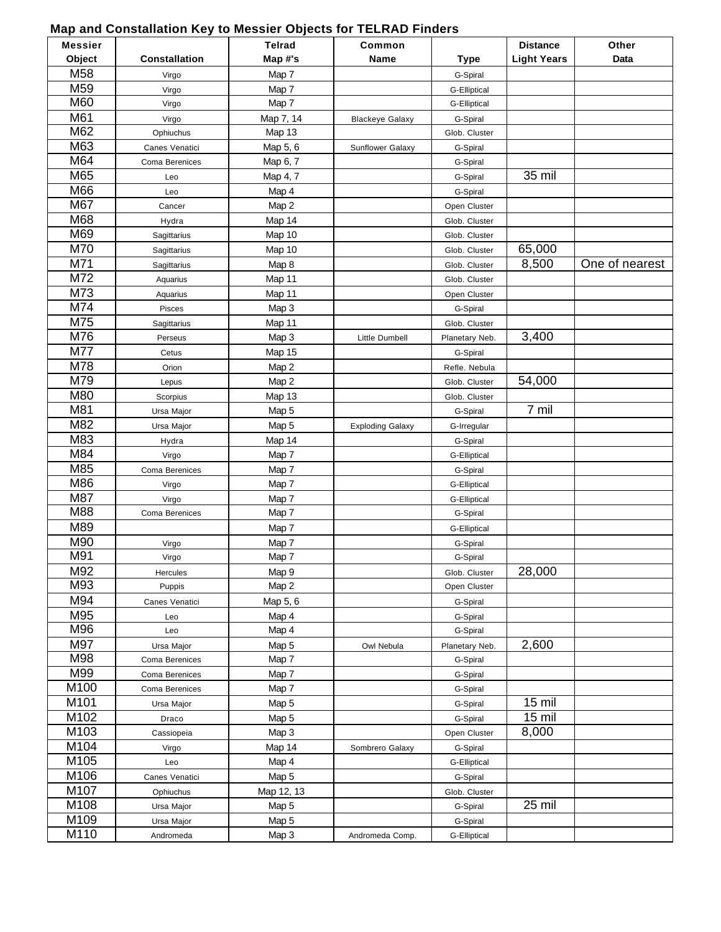## **Map and Constallation Key to Messier Objects for TELRAD Finders**

| <b>Messier</b>  |                      | <b>Telrad</b> | Common                  |                     | <b>Distance</b>    | Other          |
|-----------------|----------------------|---------------|-------------------------|---------------------|--------------------|----------------|
| Object          | <b>Constallation</b> | Map #'s       | Name                    | <b>Type</b>         | <b>Light Years</b> | Data           |
| M <sub>58</sub> | Virgo                | Map 7         |                         | G-Spiral            |                    |                |
| M59             | Virgo                | Map 7         |                         | <b>G-Elliptical</b> |                    |                |
| M60             | Virgo                | Map 7         |                         | <b>G-Elliptical</b> |                    |                |
| M61             | Virgo                | Map 7, 14     | <b>Blackeye Galaxy</b>  | G-Spiral            |                    |                |
| M62             | Ophiuchus            | Map 13        |                         | Glob. Cluster       |                    |                |
| M63             | Canes Venatici       | Map 5, 6      | <b>Sunflower Galaxy</b> | G-Spiral            |                    |                |
| M64             | Coma Berenices       | Map 6, 7      |                         | G-Spiral            |                    |                |
| M65             | Leo                  | Map 4, 7      |                         | G-Spiral            | 35 mil             |                |
| M66             | Leo                  | Map 4         |                         | G-Spiral            |                    |                |
| M67             | Cancer               | Map 2         |                         | Open Cluster        |                    |                |
| M68             | Hydra                | Map 14        |                         | Glob. Cluster       |                    |                |
| M69             | Sagittarius          | Map 10        |                         | Glob. Cluster       |                    |                |
| M70             | Sagittarius          | Map 10        |                         | Glob. Cluster       | 65,000             |                |
| M71             | Sagittarius          | Map 8         |                         | Glob. Cluster       | 8,500              | One of nearest |
| M72             | Aquarius             | Map 11        |                         | Glob. Cluster       |                    |                |
| M73             | Aquarius             | Map 11        |                         | Open Cluster        |                    |                |
| M74             | Pisces               | Map 3         |                         | G-Spiral            |                    |                |
| M75             | Sagittarius          | Map 11        |                         | Glob. Cluster       |                    |                |
| M76             | Perseus              | Map 3         | Little Dumbell          | Planetary Neb.      | 3,400              |                |
| M77             | Cetus                | Map 15        |                         | G-Spiral            |                    |                |
| M78             | Orion                | Map 2         |                         | Refle. Nebula       |                    |                |
| M79             | Lepus                | Map 2         |                         | Glob. Cluster       | 54,000             |                |
| M80             | Scorpius             | Map 13        |                         | Glob. Cluster       |                    |                |
| M81             | Ursa Major           | Map 5         |                         | G-Spiral            | 7 mil              |                |
| M82             | Ursa Major           | Map 5         | <b>Exploding Galaxy</b> | G-Irregular         |                    |                |
| M83             | Hydra                | Map 14        |                         | G-Spiral            |                    |                |
| M84             | Virgo                | Map 7         |                         | <b>G-Elliptical</b> |                    |                |
| M85             | Coma Berenices       | Map 7         |                         | G-Spiral            |                    |                |
| M86             | Virgo                | Map 7         |                         | <b>G-Elliptical</b> |                    |                |
| M87             | Virgo                | Map 7         |                         | <b>G-Elliptical</b> |                    |                |
| M88             | Coma Berenices       | Map 7         |                         | G-Spiral            |                    |                |
| M89             |                      | Map 7         |                         | <b>G-Elliptical</b> |                    |                |
| M90             | Virgo                | Map 7         |                         | G-Spiral            |                    |                |
| M91             | Virgo                | Map 7         |                         | G-Spiral            |                    |                |
| M92             | Hercules             | Map 9         |                         | Glob. Cluster       | 28,000             |                |
| M93             | Puppis               | Map 2         |                         | Open Cluster        |                    |                |
| M94             | Canes Venatici       | Map 5, 6      |                         | G-Spiral            |                    |                |
| M95             | Leo                  | Map 4         |                         | G-Spiral            |                    |                |
| M96             | Leo                  | Map 4         |                         | G-Spiral            |                    |                |
| M97             | Ursa Major           | Map 5         | Owl Nebula              | Planetary Neb.      | 2,600              |                |
| M98             | Coma Berenices       | Map 7         |                         | G-Spiral            |                    |                |
| M99<br>M100     | Coma Berenices       | Map 7         |                         | G-Spiral            |                    |                |
|                 | Coma Berenices       | Map 7         |                         | G-Spiral            |                    |                |
| M101            | Ursa Major           | Map 5         |                         | G-Spiral            | $15$ mil           |                |
| M102<br>M103    | Draco                | Map 5         |                         | G-Spiral            | $15$ mil           |                |
| M104            | Cassiopeia           | Map 3         |                         | Open Cluster        | 8,000              |                |
| M105            | Virgo                | Map 14        | Sombrero Galaxy         | G-Spiral            |                    |                |
|                 | Leo                  | Map 4         |                         | <b>G-Elliptical</b> |                    |                |
| M106            | Canes Venatici       | Map 5         |                         | G-Spiral            |                    |                |
| M107<br>M108    | Ophiuchus            | Map 12, 13    |                         | Glob. Cluster       | 25 mil             |                |
| M109            | Ursa Major           | Map 5         |                         | G-Spiral            |                    |                |
| M110            | Ursa Major           | Map 5         |                         | G-Spiral            |                    |                |
|                 | Andromeda            | Map 3         | Andromeda Comp.         | <b>G-Elliptical</b> |                    |                |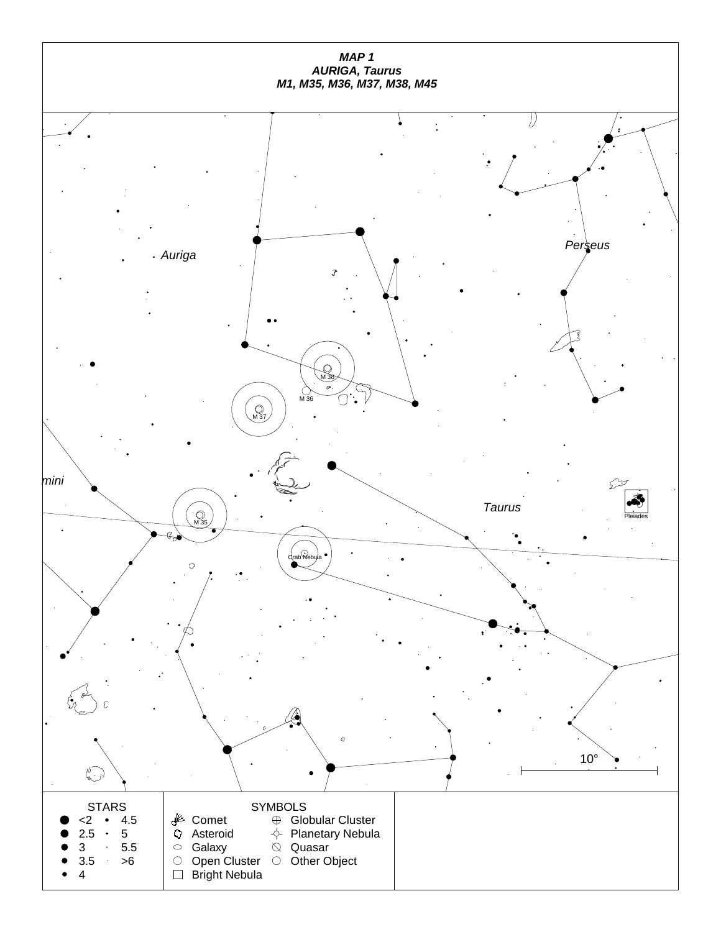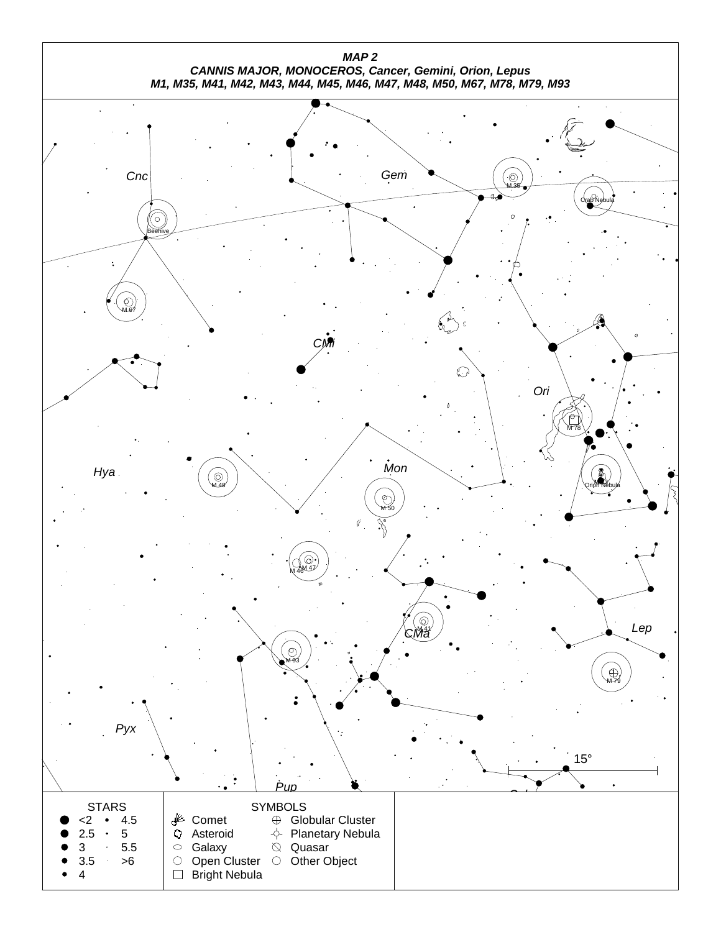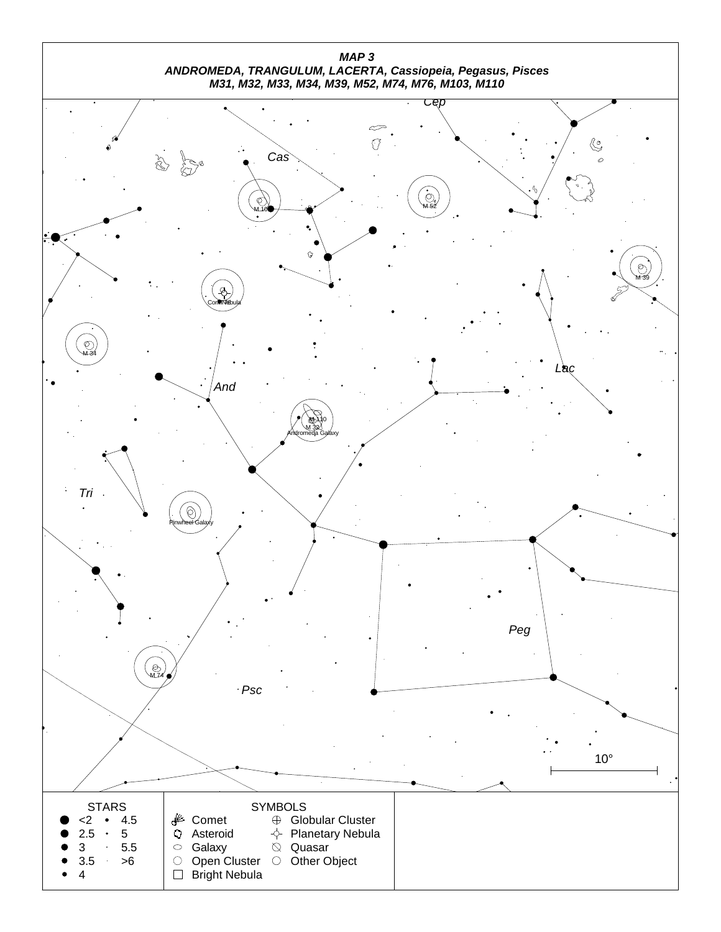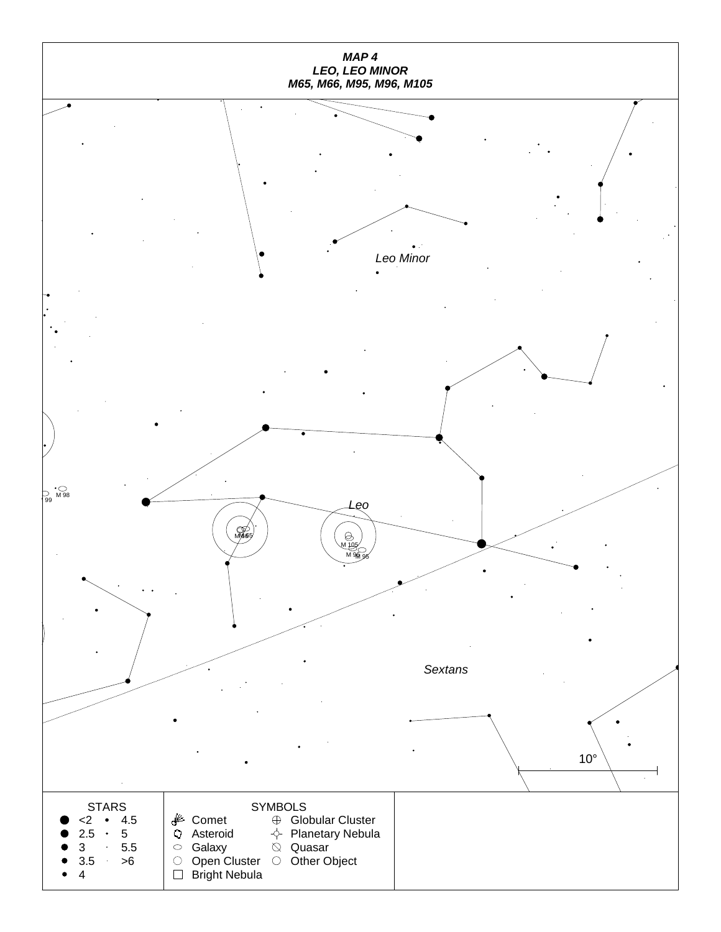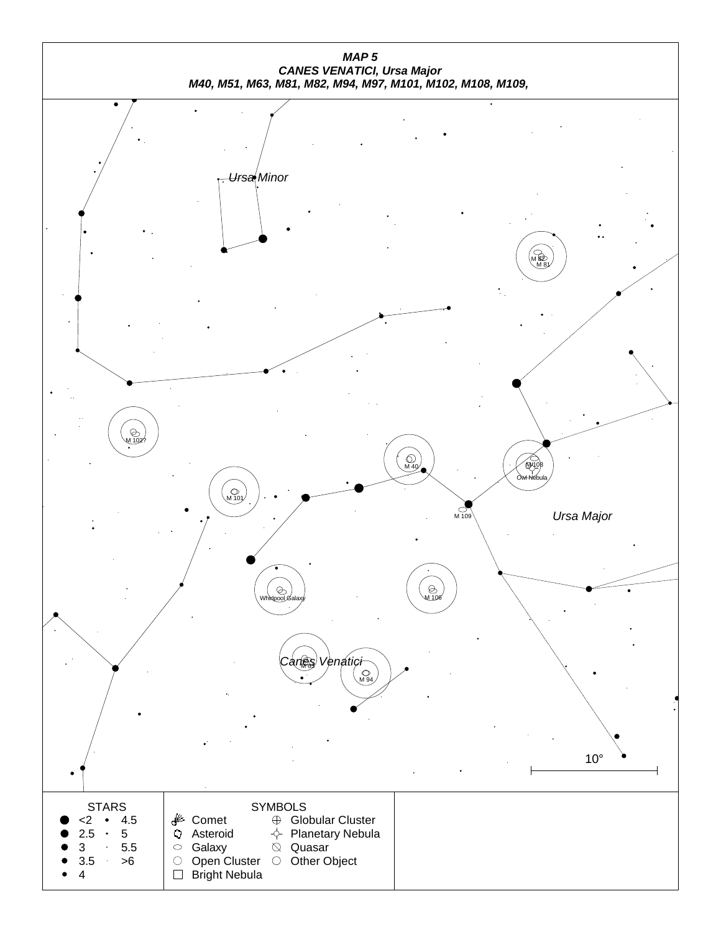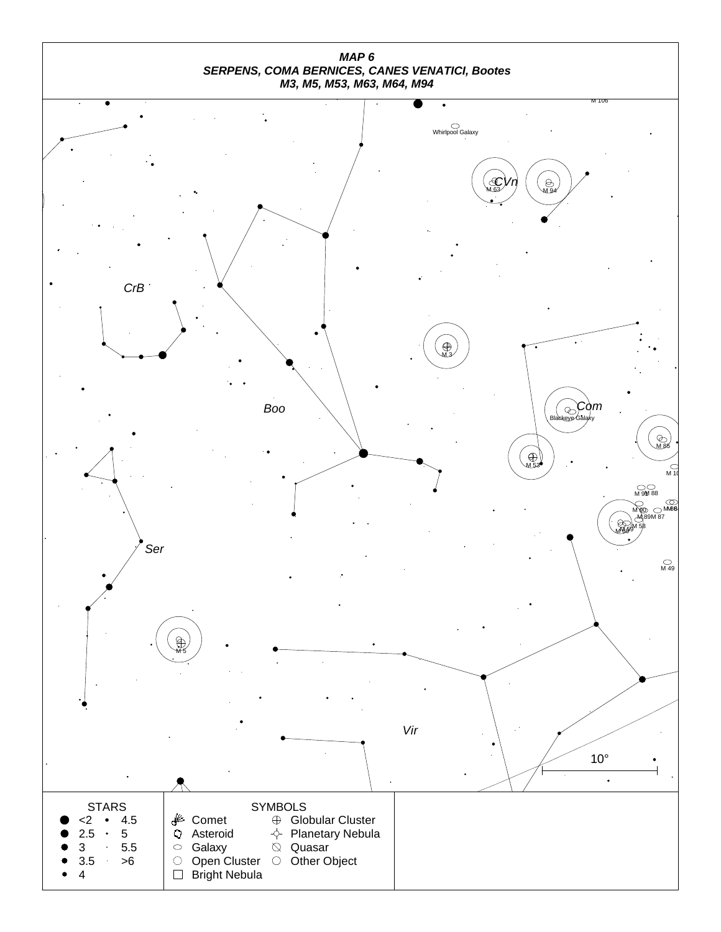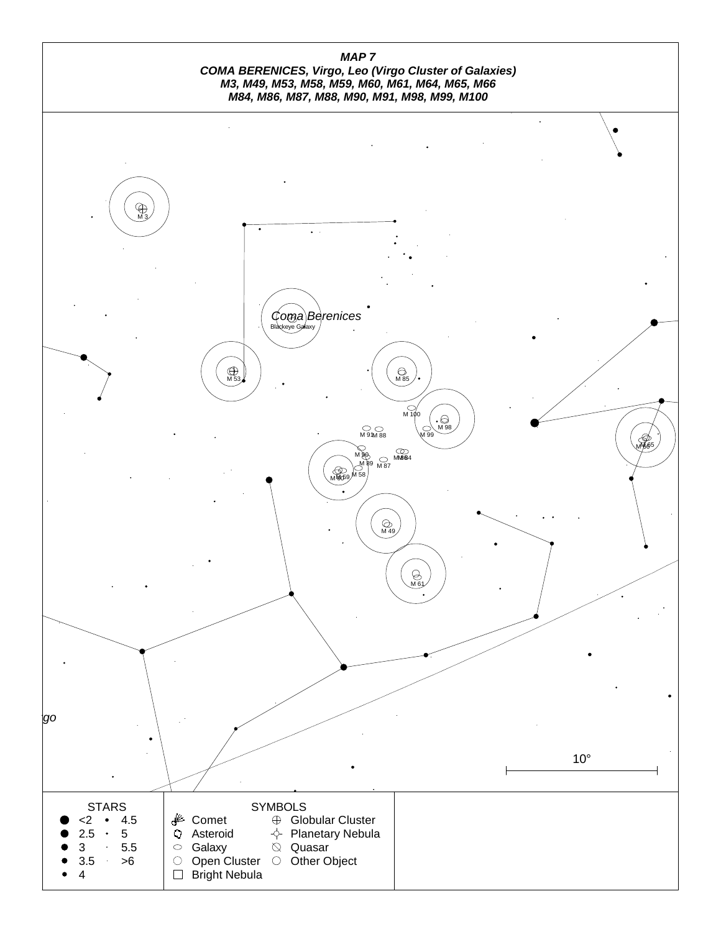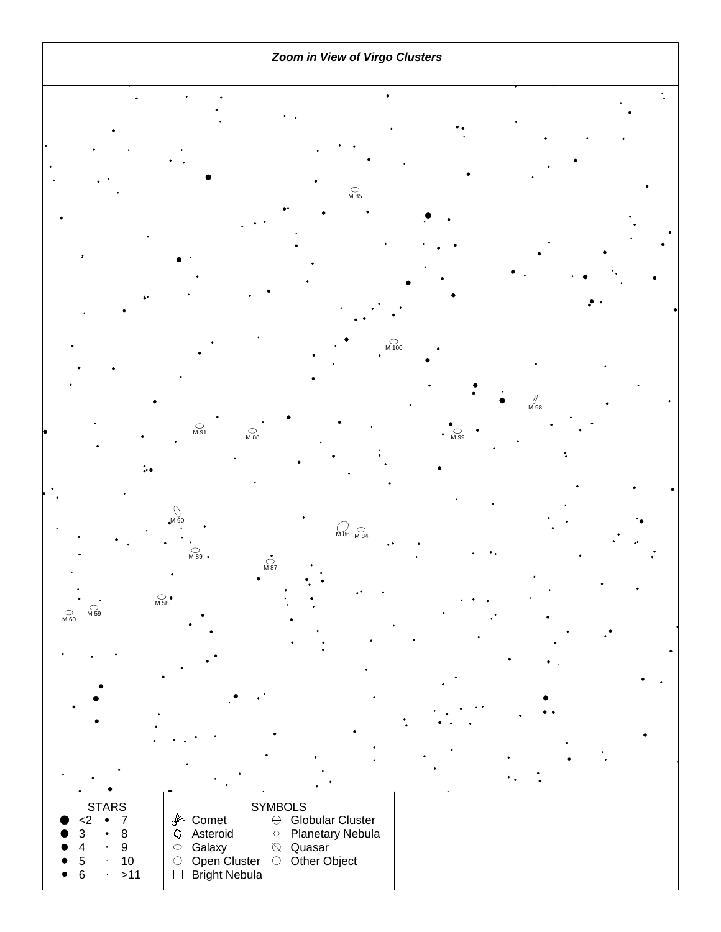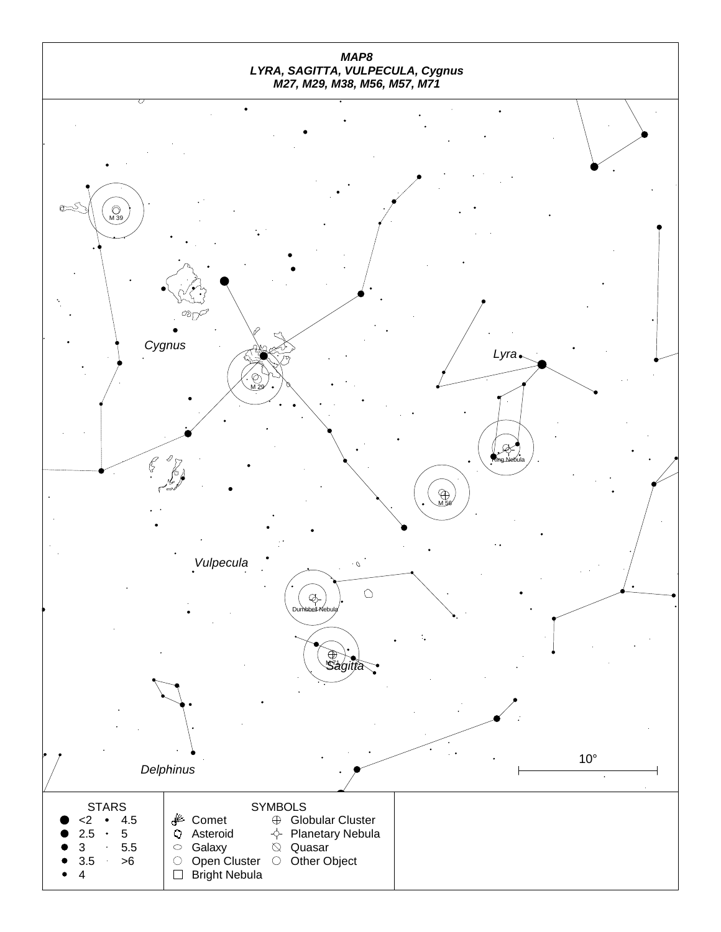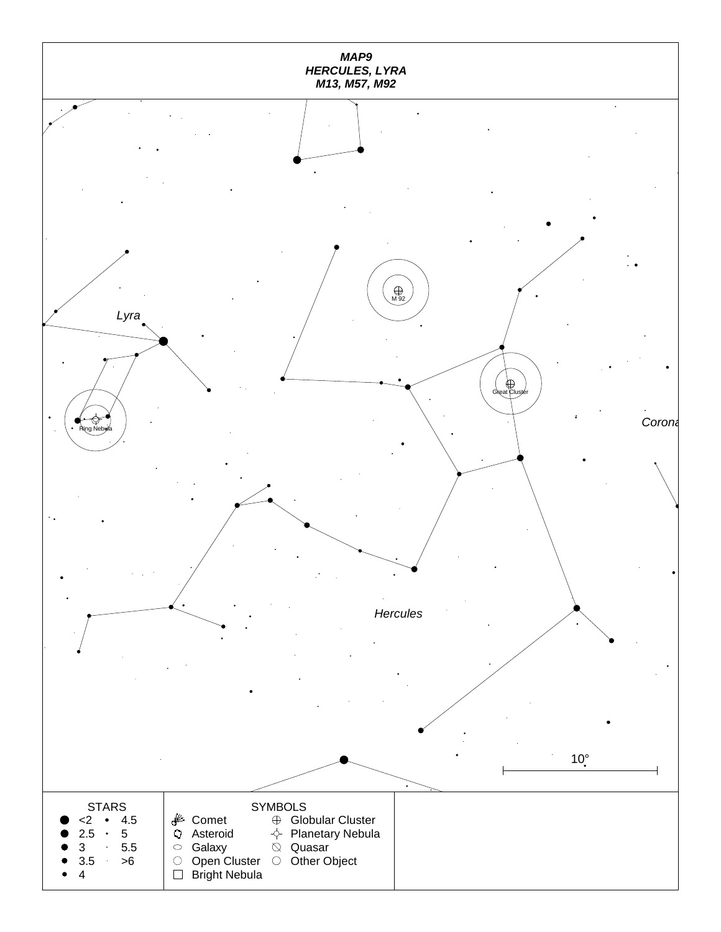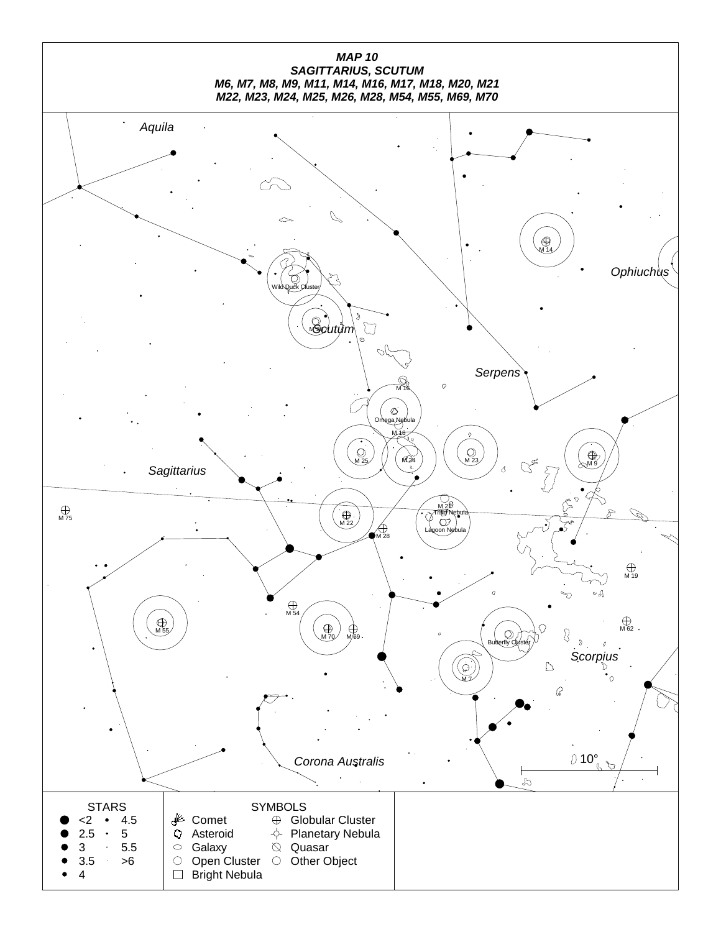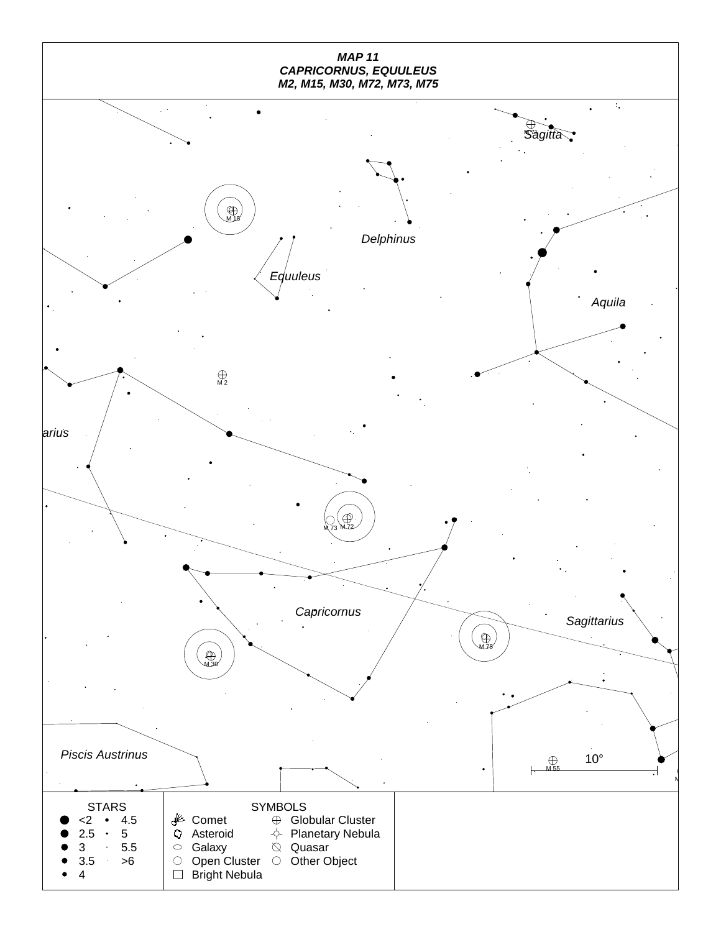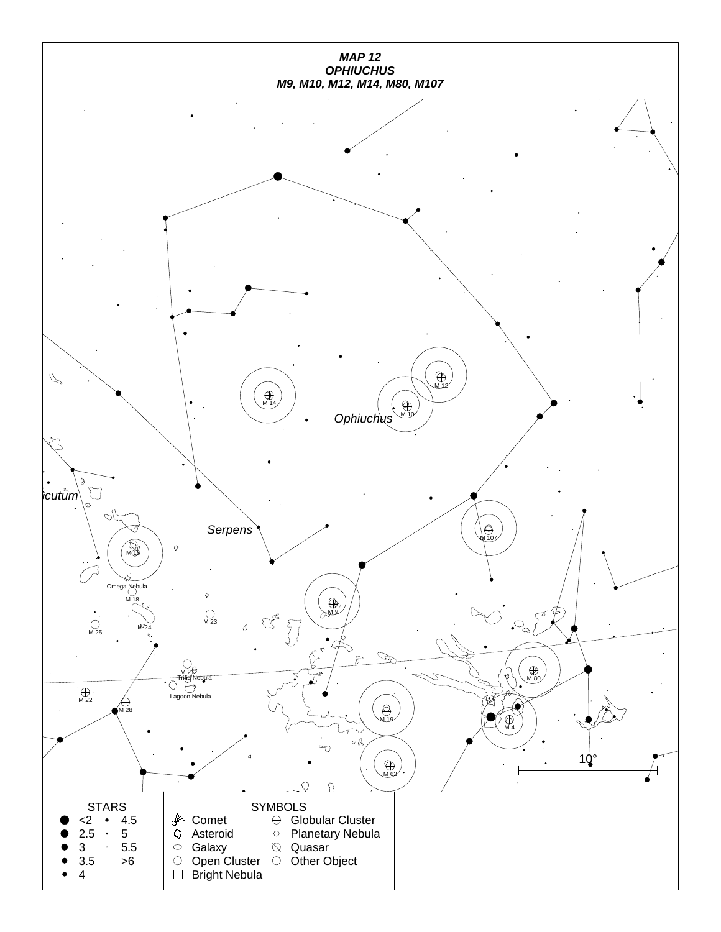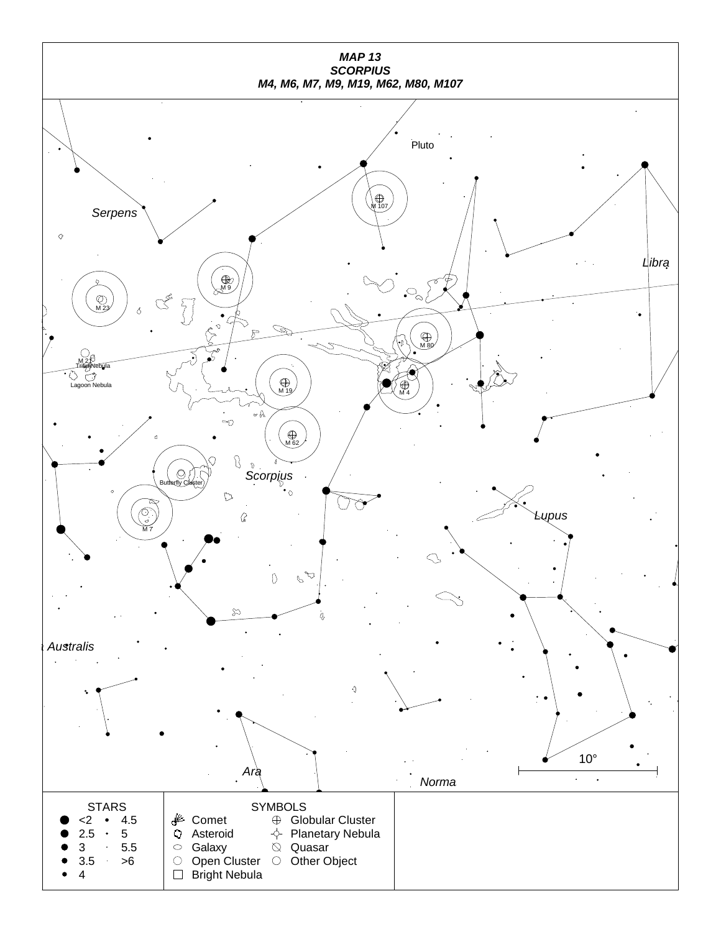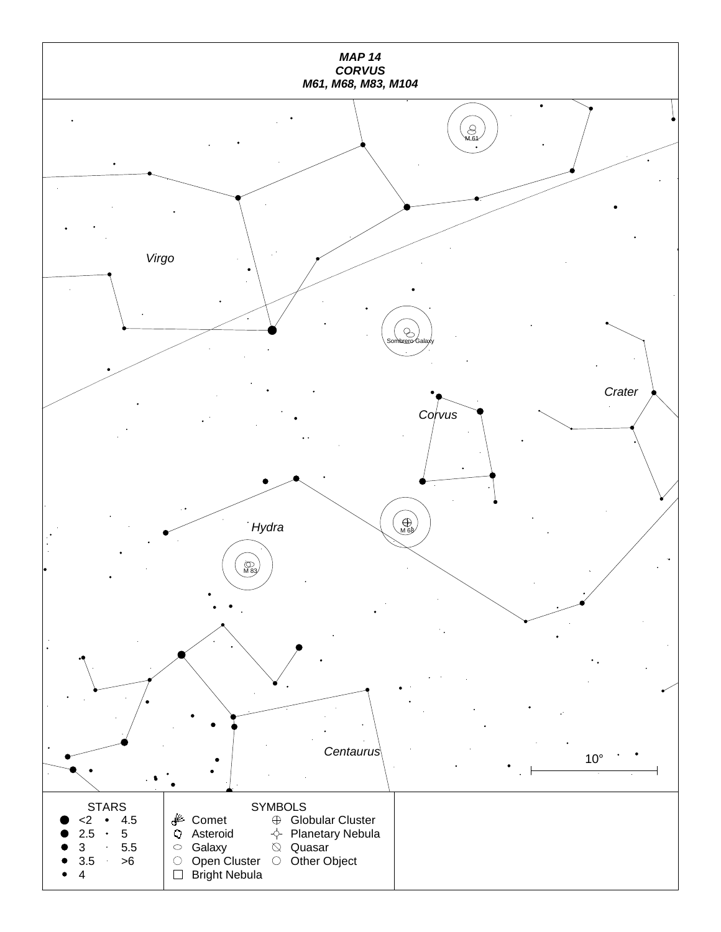